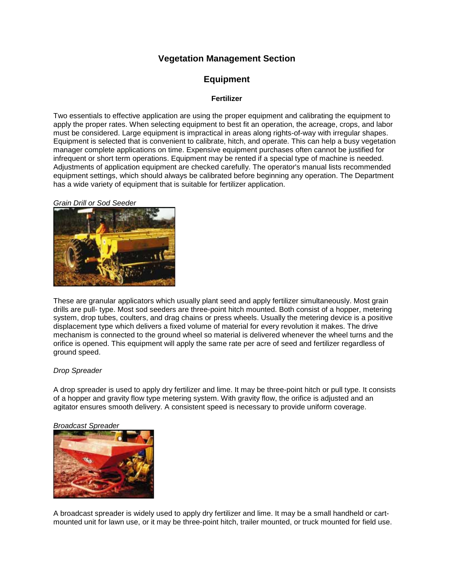# **Vegetation Management Section**

# **Equipment**

## **Fertilizer**

Two essentials to effective application are using the proper equipment and calibrating the equipment to apply the proper rates. When selecting equipment to best fit an operation, the acreage, crops, and labor must be considered. Large equipment is impractical in areas along rights-of-way with irregular shapes. Equipment is selected that is convenient to calibrate, hitch, and operate. This can help a busy vegetation manager complete applications on time. Expensive equipment purchases often cannot be justified for infrequent or short term operations. Equipment may be rented if a special type of machine is needed. Adjustments of application equipment are checked carefully. The operator's manual lists recommended equipment settings, which should always be calibrated before beginning any operation. The Department has a wide variety of equipment that is suitable for fertilizer application.

#### **Grain Drill or Sod Seede**



These are granular applicators which usually plant seed and apply fertilizer simultaneously. Most grain drills are pull- type. Most sod seeders are three-point hitch mounted. Both consist of a hopper, metering system, drop tubes, coulters, and drag chains or press wheels. Usually the metering device is a positive displacement type which delivers a fixed volume of material for every revolution it makes. The drive mechanism is connected to the ground wheel so material is delivered whenever the wheel turns and the orifice is opened. This equipment will apply the same rate per acre of seed and fertilizer regardless of ground speed.

### *Drop Spreader*

A drop spreader is used to apply dry fertilizer and lime. It may be three-point hitch or pull type. It consists of a hopper and gravity flow type metering system. With gravity flow, the orifice is adjusted and an agitator ensures smooth delivery. A consistent speed is necessary to provide uniform coverage.

#### *Broadcast Spreader*



A broadcast spreader is widely used to apply dry fertilizer and lime. It may be a small handheld or cartmounted unit for lawn use, or it may be three-point hitch, trailer mounted, or truck mounted for field use.